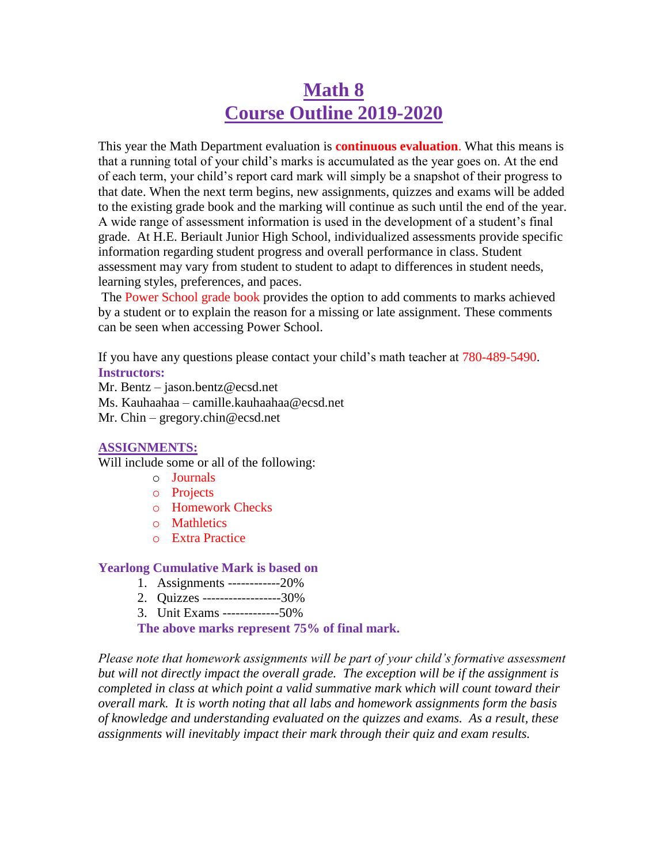# **Math 8 Course Outline 2019-2020**

This year the Math Department evaluation is **continuous evaluation**. What this means is that a running total of your child's marks is accumulated as the year goes on. At the end of each term, your child's report card mark will simply be a snapshot of their progress to that date. When the next term begins, new assignments, quizzes and exams will be added to the existing grade book and the marking will continue as such until the end of the year. A wide range of assessment information is used in the development of a student's final grade. At H.E. Beriault Junior High School, individualized assessments provide specific information regarding student progress and overall performance in class. Student assessment may vary from student to student to adapt to differences in student needs, learning styles, preferences, and paces.

The Power School grade book provides the option to add comments to marks achieved by a student or to explain the reason for a missing or late assignment. These comments can be seen when accessing Power School.

If you have any questions please contact your child's math teacher at 780-489-5490. **Instructors:**

Mr. Bentz – jason.bentz@ecsd.net

Ms. Kauhaahaa – camille.kauhaahaa@ecsd.net

Mr. Chin – gregory.chin@ecsd.net

### **ASSIGNMENTS:**

Will include some or all of the following:

- o Journals
- o Projects
- o Homework Checks
- o Mathletics
- o Extra Practice

### **Yearlong Cumulative Mark is based on**

- 1. Assignments ------------20%
- 2. Quizzes ------------------30%
- 3. Unit Exams -------------50%

**The above marks represent 75% of final mark.**

*Please note that homework assignments will be part of your child's formative assessment but will not directly impact the overall grade. The exception will be if the assignment is completed in class at which point a valid summative mark which will count toward their overall mark. It is worth noting that all labs and homework assignments form the basis of knowledge and understanding evaluated on the quizzes and exams. As a result, these assignments will inevitably impact their mark through their quiz and exam results.*